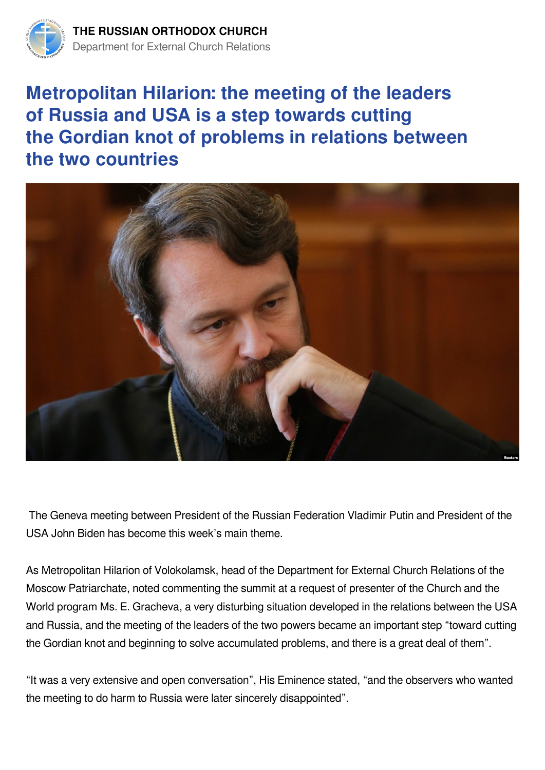

## **Metropolitan Hilarion: the meeting of the leaders of Russia and USA is a step towards сutting the Gordian knot of problems in relations between the two countries**



 The Geneva meeting between President of the Russian Federation Vladimir Putin and President of the USA John Biden has become this week's main theme.

As Metropolitan Hilarion of Volokolamsk, head of the Department for External Church Relations of the Moscow Patriarchate, noted commenting the summit at a request of presenter of the Church and the World program Ms. E. Gracheva, a very disturbing situation developed in the relations between the USA and Russia, and the meeting of the leaders of the two powers became an important step "toward cutting the Gordian knot and beginning to solve accumulated problems, and there is a great deal of them".

"It was a very extensive and open conversation", His Eminence stated, "and the observers who wanted the meeting to do harm to Russia were later sincerely disappointed".